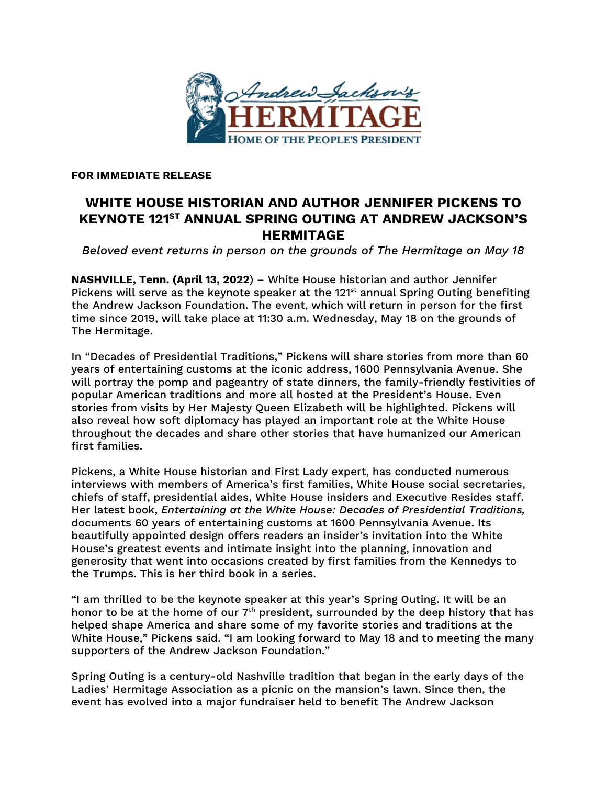

**FOR IMMEDIATE RELEASE**

## **WHITE HOUSE HISTORIAN AND AUTHOR JENNIFER PICKENS TO KEYNOTE 121ST ANNUAL SPRING OUTING AT ANDREW JACKSON'S HERMITAGE**

*Beloved event returns in person on the grounds of The Hermitage on May 18*

**NASHVILLE, Tenn. (April 13, 2022**) – White House historian and author Jennifer Pickens will serve as the keynote speaker at the 121<sup>st</sup> annual Spring Outing benefiting the Andrew Jackson Foundation. The event, which will return in person for the first time since 2019, will take place at 11:30 a.m. Wednesday, May 18 on the grounds of The Hermitage.

In "Decades of Presidential Traditions," Pickens will share stories from more than 60 years of entertaining customs at the iconic address, 1600 Pennsylvania Avenue. She will portray the pomp and pageantry of state dinners, the family-friendly festivities of popular American traditions and more all hosted at the President's House. Even stories from visits by Her Majesty Queen Elizabeth will be highlighted. Pickens will also reveal how soft diplomacy has played an important role at the White House throughout the decades and share other stories that have humanized our American first families.

Pickens, a White House historian and First Lady expert, has conducted numerous interviews with members of America's first families, White House social secretaries, chiefs of staff, presidential aides, White House insiders and Executive Resides staff. Her latest book, *Entertaining at the White House: Decades of Presidential Traditions,*  documents 60 years of entertaining customs at 1600 Pennsylvania Avenue. Its beautifully appointed design offers readers an insider's invitation into the White House's greatest events and intimate insight into the planning, innovation and generosity that went into occasions created by first families from the Kennedys to the Trumps. This is her third book in a series.

"I am thrilled to be the keynote speaker at this year's Spring Outing. It will be an honor to be at the home of our  $7<sup>th</sup>$  president, surrounded by the deep history that has helped shape America and share some of my favorite stories and traditions at the White House," Pickens said. "I am looking forward to May 18 and to meeting the many supporters of the Andrew Jackson Foundation."

Spring Outing is a century-old Nashville tradition that began in the early days of the Ladies' Hermitage Association as a picnic on the mansion's lawn. Since then, the event has evolved into a major fundraiser held to benefit The Andrew Jackson